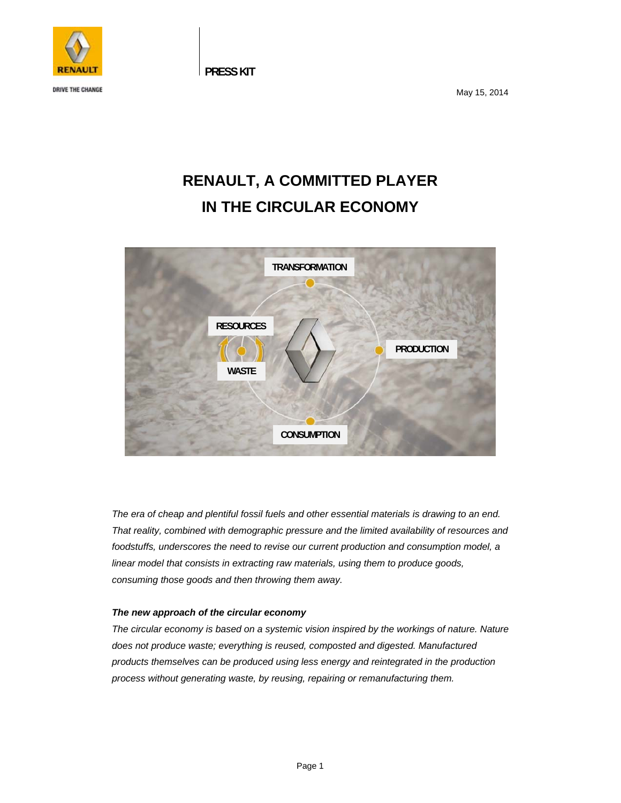

**DRIVE THE CHANGE** 

 **PRESS KIT** 

May 15, 2014

# **RENAULT, A COMMITTED PLAYER IN THE CIRCULAR ECONOMY**



*The era of cheap and plentiful fossil fuels and other essential materials is drawing to an end. That reality, combined with demographic pressure and the limited availability of resources and foodstuffs, underscores the need to revise our current production and consumption model, a linear model that consists in extracting raw materials, using them to produce goods, consuming those goods and then throwing them away.* 

### *The new approach of the circular economy*

*The circular economy is based on a systemic vision inspired by the workings of nature. Nature does not produce waste; everything is reused, composted and digested. Manufactured products themselves can be produced using less energy and reintegrated in the production process without generating waste, by reusing, repairing or remanufacturing them.*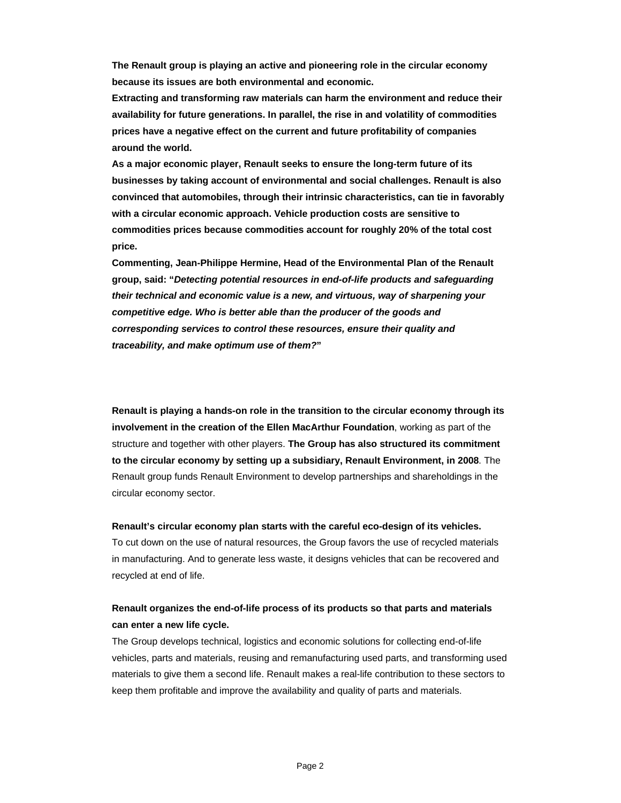**The Renault group is playing an active and pioneering role in the circular economy because its issues are both environmental and economic.** 

**Extracting and transforming raw materials can harm the environment and reduce their availability for future generations. In parallel, the rise in and volatility of commodities prices have a negative effect on the current and future profitability of companies around the world.** 

**As a major economic player, Renault seeks to ensure the long-term future of its businesses by taking account of environmental and social challenges. Renault is also convinced that automobiles, through their intrinsic characteristics, can tie in favorably with a circular economic approach. Vehicle production costs are sensitive to commodities prices because commodities account for roughly 20% of the total cost price.** 

**Commenting, Jean-Philippe Hermine, Head of the Environmental Plan of the Renault group, said: "***Detecting potential resources in end-of-life products and safeguarding their technical and economic value is a new, and virtuous, way of sharpening your competitive edge. Who is better able than the producer of the goods and corresponding services to control these resources, ensure their quality and traceability, and make optimum use of them?***"** 

**Renault is playing a hands-on role in the transition to the circular economy through its involvement in the creation of the Ellen MacArthur Foundation**, working as part of the structure and together with other players. **The Group has also structured its commitment to the circular economy by setting up a subsidiary, Renault Environment, in 2008**. The Renault group funds Renault Environment to develop partnerships and shareholdings in the circular economy sector.

#### **Renault's circular economy plan starts with the careful eco-design of its vehicles.**

To cut down on the use of natural resources, the Group favors the use of recycled materials in manufacturing. And to generate less waste, it designs vehicles that can be recovered and recycled at end of life.

### **Renault organizes the end-of-life process of its products so that parts and materials can enter a new life cycle.**

The Group develops technical, logistics and economic solutions for collecting end-of-life vehicles, parts and materials, reusing and remanufacturing used parts, and transforming used materials to give them a second life. Renault makes a real-life contribution to these sectors to keep them profitable and improve the availability and quality of parts and materials.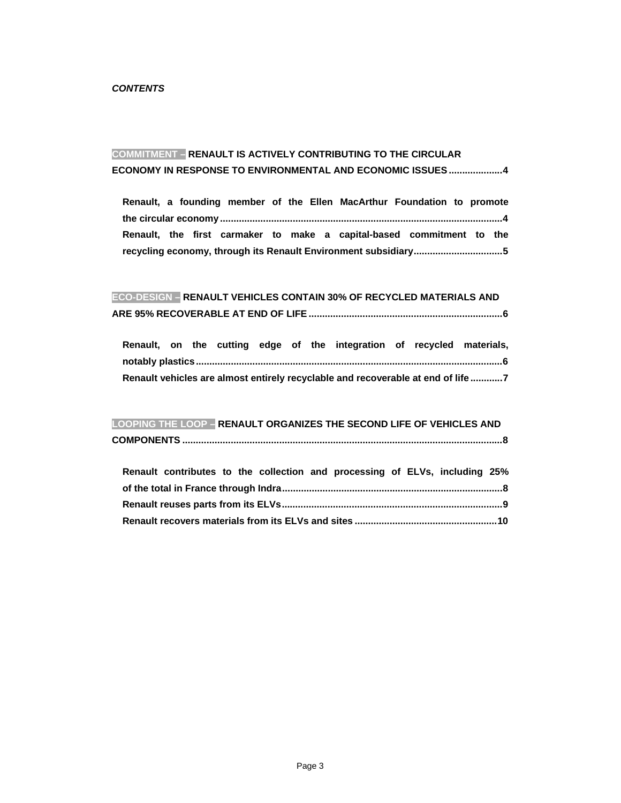## **COMMITMENT – RENAULT IS ACTIVELY CONTRIBUTING TO THE CIRCULAR ECONOMY IN RESPONSE TO ENVIRONMENTAL AND ECONOMIC ISSUES .................... 4**

**Renault, a founding member of the Ellen MacArthur Foundation to promote the circular economy ......................................................................................................... 4 Renault, the first carmaker to make a capital-based commitment to the recycling economy, through its Renault Environment subsidiary ................................. 5** 

### **ECO-DESIGN – RENAULT VEHICLES CONTAIN 30% OF RECYCLED MATERIALS AND**

|                                                                                 |  |  |  |  |  |  | Renault, on the cutting edge of the integration of recycled materials, |  |  |  |
|---------------------------------------------------------------------------------|--|--|--|--|--|--|------------------------------------------------------------------------|--|--|--|
|                                                                                 |  |  |  |  |  |  |                                                                        |  |  |  |
| Renault vehicles are almost entirely recyclable and recoverable at end of life7 |  |  |  |  |  |  |                                                                        |  |  |  |

### **LOOPING THE LOOP – RENAULT ORGANIZES THE SECOND LIFE OF VEHICLES AND**

|--|

|  | Renault contributes to the collection and processing of ELVs, including 25% |  |  |  |  |  |  |  |  |
|--|-----------------------------------------------------------------------------|--|--|--|--|--|--|--|--|
|  |                                                                             |  |  |  |  |  |  |  |  |
|  |                                                                             |  |  |  |  |  |  |  |  |
|  |                                                                             |  |  |  |  |  |  |  |  |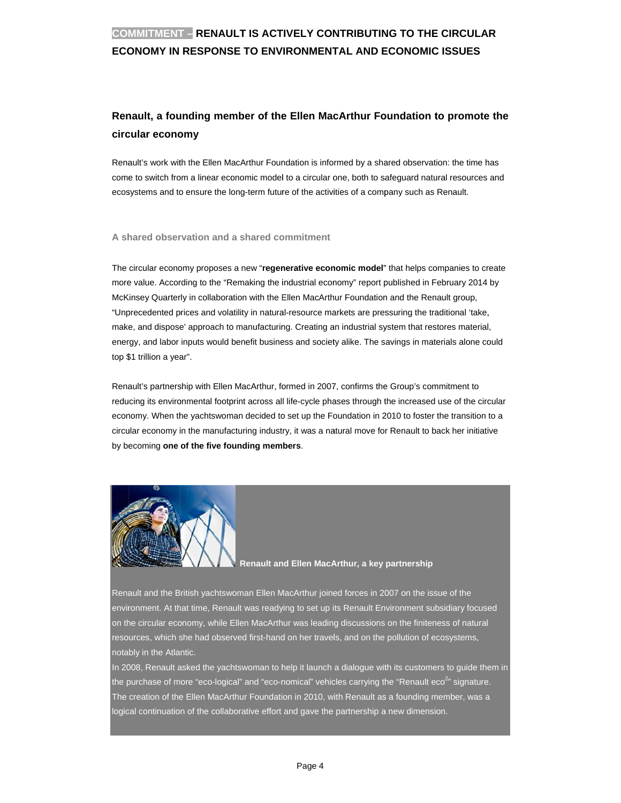# **COMMITMENT - RENAULT IS ACTIVELY CONTRIBUTING TO THE CIRCULAR ECONOMY IN RESPONSE TO ENVIRONMENTAL AND ECONOMIC ISSUES**

# Renault, a founding member of the Ellen MacArthur Foundation to promote the circular economy

Renault's work with the Ellen MacArthur Foundation is informed by a shared observation: the time has come to switch from a linear economic model to a circular one, both to safeguard natural resources and ecosystems and to ensure the long-term future of the activities of a company such as Renault.

#### A shared observation and a shared commitment

The circular economy proposes a new "regenerative economic model" that helps companies to create more value. According to the "Remaking the industrial economy" report published in February 2014 by McKinsey Quarterly in collaboration with the Ellen MacArthur Foundation and the Renault group, "Unprecedented prices and volatility in natural-resource markets are pressuring the traditional 'take, make, and dispose' approach to manufacturing. Creating an industrial system that restores material, energy, and labor inputs would benefit business and society alike. The savings in materials alone could top \$1 trillion a year".

Renault's partnership with Ellen MacArthur, formed in 2007, confirms the Group's commitment to reducing its environmental footprint across all life-cycle phases through the increased use of the circular economy. When the yachtswoman decided to set up the Foundation in 2010 to foster the transition to a circular economy in the manufacturing industry, it was a natural move for Renault to back her initiative by becoming one of the five founding members.



#### Renault and Ellen MacArthur, a key partnership

Renault and the British yachtswoman Ellen MacArthur joined forces in 2007 on the issue of the environment. At that time, Renault was readying to set up its Renault Environment subsidiary focused on the circular economy, while Ellen MacArthur was leading discussions on the finiteness of natural resources, which she had observed first-hand on her travels, and on the pollution of ecosystems, notably in the Atlantic.

In 2008. Renault asked the yachtswoman to help it launch a dialogue with its customers to quide them in the purchase of more "eco-logical" and "eco-nomical" vehicles carrying the "Renault eco<sup>2</sup>" signature. The creation of the Ellen MacArthur Foundation in 2010, with Renault as a founding member, was a logical continuation of the collaborative effort and gave the partnership a new dimension.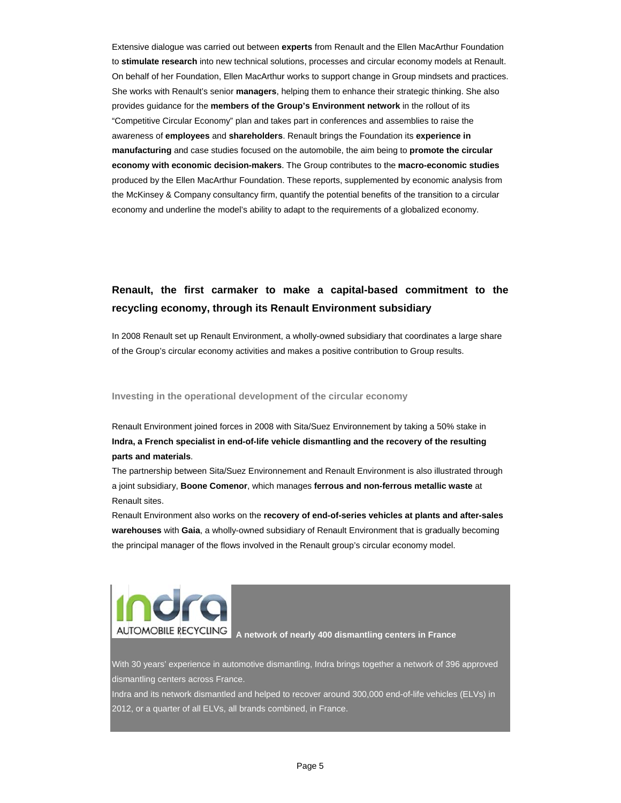Extensive dialogue was carried out between experts from Renault and the Ellen MacArthur Foundation to stimulate research into new technical solutions, processes and circular economy models at Renault. On behalf of her Foundation, Ellen MacArthur works to support change in Group mindsets and practices. She works with Renault's senior managers, helping them to enhance their strategic thinking. She also provides guidance for the members of the Group's Environment network in the rollout of its "Competitive Circular Economy" plan and takes part in conferences and assemblies to raise the awareness of employees and shareholders. Renault brings the Foundation its experience in manufacturing and case studies focused on the automobile, the aim being to promote the circular economy with economic decision-makers. The Group contributes to the macro-economic studies produced by the Ellen MacArthur Foundation. These reports, supplemented by economic analysis from the McKinsey & Company consultancy firm, quantify the potential benefits of the transition to a circular economy and underline the model's ability to adapt to the requirements of a globalized economy.

# Renault, the first carmaker to make a capital-based commitment to the recycling economy, through its Renault Environment subsidiary

In 2008 Renault set up Renault Environment, a wholly-owned subsidiary that coordinates a large share of the Group's circular economy activities and makes a positive contribution to Group results.

#### Investing in the operational development of the circular economy

Renault Environment joined forces in 2008 with Sita/Suez Environnement by taking a 50% stake in Indra, a French specialist in end-of-life vehicle dismantling and the recovery of the resulting parts and materials.

The partnership between Sita/Suez Environnement and Renault Environment is also illustrated through a joint subsidiary, Boone Comenor, which manages ferrous and non-ferrous metallic waste at Renault sites.

Renault Environment also works on the recovery of end-of-series vehicles at plants and after-sales warehouses with Gaia, a wholly-owned subsidiary of Renault Environment that is gradually becoming the principal manager of the flows involved in the Renault group's circular economy model.



A network of nearly 400 dismantling centers in France

With 30 years' experience in automotive dismantling, Indra brings together a network of 396 approved dismantling centers across France.

Indra and its network dismantled and helped to recover around 300,000 end-of-life vehicles (ELVs) in 2012, or a quarter of all ELVs, all brands combined, in France.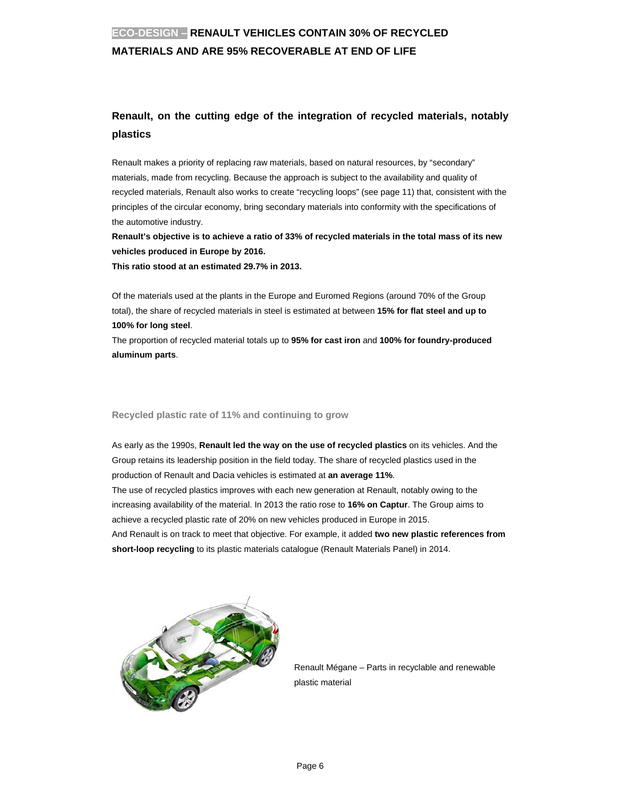# **ECO-DESIGN – RENAULT VEHICLES CONTAIN 30% OF RECYCLED MATERIALS AND ARE 95% RECOVERABLE AT END OF LIFE**

# **Renault, on the cutting edge of the integration of recycled materials, notably plastics**

Renault makes a priority of replacing raw materials, based on natural resources, by "secondary" materials, made from recycling. Because the approach is subject to the availability and quality of recycled materials, Renault also works to create "recycling loops" (see page 11) that, consistent with the principles of the circular economy, bring secondary materials into conformity with the specifications of the automotive industry.

**Renault's objective is to achieve a ratio of 33% of recycled materials in the total mass of its new vehicles produced in Europe by 2016.** 

**This ratio stood at an estimated 29.7% in 2013.** 

Of the materials used at the plants in the Europe and Euromed Regions (around 70% of the Group total), the share of recycled materials in steel is estimated at between **15% for flat steel and up to 100% for long steel**.

The proportion of recycled material totals up to **95% for cast iron** and **100% for foundry-produced aluminum parts**.

### **Recycled plastic rate of 11% and continuing to grow**

As early as the 1990s, **Renault led the way on the use of recycled plastics** on its vehicles. And the Group retains its leadership position in the field today. The share of recycled plastics used in the production of Renault and Dacia vehicles is estimated at **an average 11%**. The use of recycled plastics improves with each new generation at Renault, notably owing to the increasing availability of the material. In 2013 the ratio rose to **16% on Captur**. The Group aims to achieve a recycled plastic rate of 20% on new vehicles produced in Europe in 2015. And Renault is on track to meet that objective. For example, it added **two new plastic references from short-loop recycling** to its plastic materials catalogue (Renault Materials Panel) in 2014.



Renault Mégane – Parts in recyclable and renewable plastic material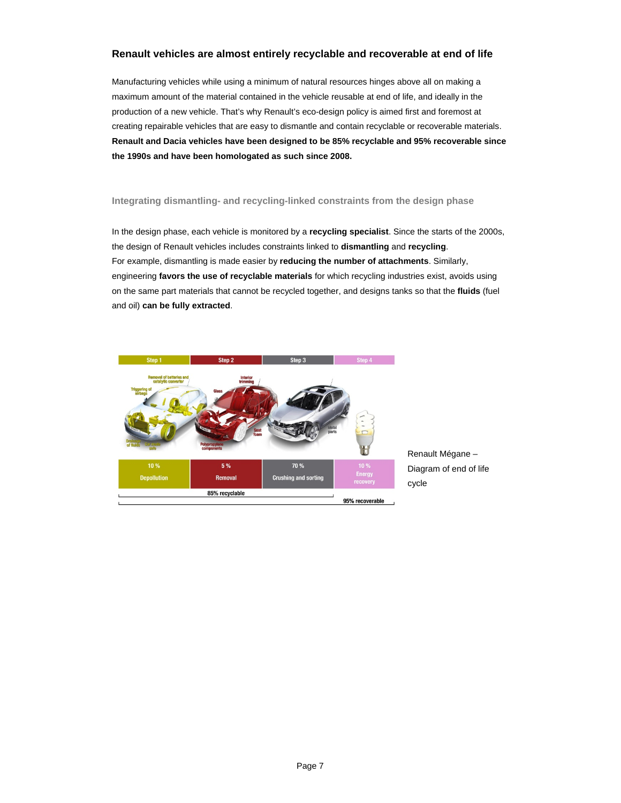### **Renault vehicles are almost entirely recyclable and recoverable at end of life**

Manufacturing vehicles while using a minimum of natural resources hinges above all on making a maximum amount of the material contained in the vehicle reusable at end of life, and ideally in the production of a new vehicle. That's why Renault's eco-design policy is aimed first and foremost at creating repairable vehicles that are easy to dismantle and contain recyclable or recoverable materials. **Renault and Dacia vehicles have been designed to be 85% recyclable and 95% recoverable since the 1990s and have been homologated as such since 2008.** 

### **Integrating dismantling- and recycling-linked constraints from the design phase**

In the design phase, each vehicle is monitored by a **recycling specialist**. Since the starts of the 2000s, the design of Renault vehicles includes constraints linked to **dismantling** and **recycling**. For example, dismantling is made easier by **reducing the number of attachments**. Similarly, engineering **favors the use of recyclable materials** for which recycling industries exist, avoids using on the same part materials that cannot be recycled together, and designs tanks so that the **fluids** (fuel and oil) **can be fully extracted**.



Renault Mégane – Diagram of end of life cycle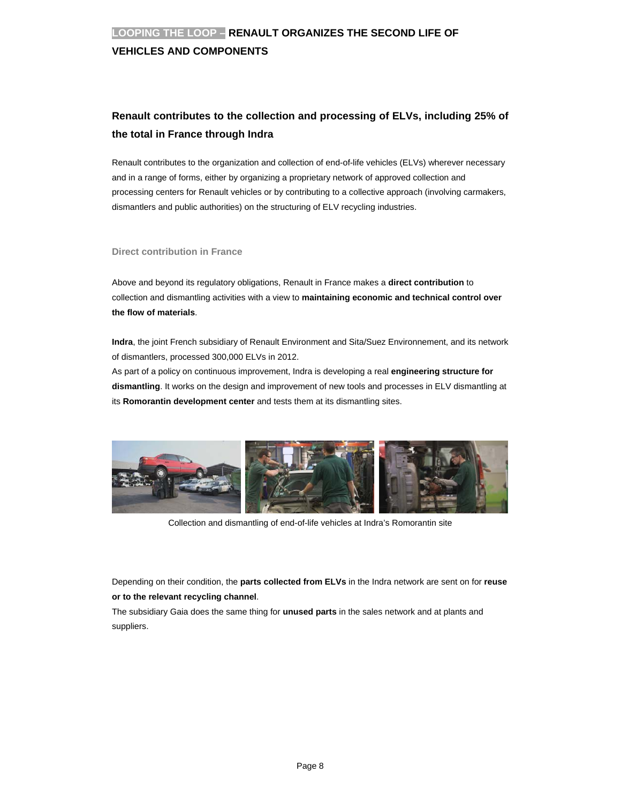### **VEHICLES AND COMPONENTS**

# **Renault contributes to the collection and processing of ELVs, including 25% of the total in France through Indra**

Renault contributes to the organization and collection of end-of-life vehicles (ELVs) wherever necessary and in a range of forms, either by organizing a proprietary network of approved collection and processing centers for Renault vehicles or by contributing to a collective approach (involving carmakers, dismantlers and public authorities) on the structuring of ELV recycling industries.

### **Direct contribution in France**

Above and beyond its regulatory obligations, Renault in France makes a **direct contribution** to collection and dismantling activities with a view to **maintaining economic and technical control over the flow of materials**.

**Indra**, the joint French subsidiary of Renault Environment and Sita/Suez Environnement, and its network of dismantlers, processed 300,000 ELVs in 2012.

As part of a policy on continuous improvement, Indra is developing a real **engineering structure for dismantling**. It works on the design and improvement of new tools and processes in ELV dismantling at its **Romorantin development center** and tests them at its dismantling sites.



Collection and dismantling of end-of-life vehicles at Indra's Romorantin site

Depending on their condition, the **parts collected from ELVs** in the Indra network are sent on for **reuse or to the relevant recycling channel**.

The subsidiary Gaia does the same thing for **unused parts** in the sales network and at plants and suppliers.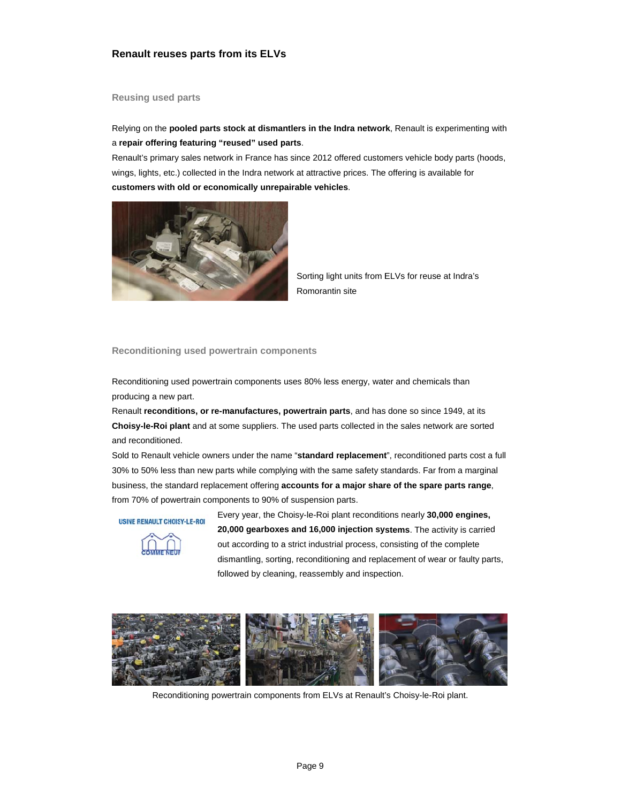### **Renault reuses parts from its ELVs**

#### **Reusing used parts**

Relying on the pooled parts stock at dismantlers in the Indra network, Renault is experimenting with a repair offering featuring "reused" used parts.

Renault's primary sales network in France has since 2012 offered customers vehicle body parts (hoods, wings, lights, etc.) collected in the Indra network at attractive prices. The offering is available for customers with old or economically unrepairable vehicles.



Sorting light units from ELVs for reuse at Indra's Romorantin site

Reconditioning used powertrain components

Reconditioning used powertrain components uses 80% less energy, water and chemicals than producing a new part.

Renault reconditions, or re-manufactures, powertrain parts, and has done so since 1949, at its Choisy-le-Roi plant and at some suppliers. The used parts collected in the sales network are sorted and reconditioned.

Sold to Renault vehicle owners under the name "standard replacement", reconditioned parts cost a full 30% to 50% less than new parts while complying with the same safety standards. Far from a marginal business, the standard replacement offering accounts for a major share of the spare parts range, from 70% of powertrain components to 90% of suspension parts.

**USINE RENAULT CHOISY-LE-ROI** 



Every year, the Choisy-le-Roi plant reconditions nearly 30,000 engines, 20,000 gearboxes and 16,000 injection systems. The activity is carried out according to a strict industrial process, consisting of the complete dismantling, sorting, reconditioning and replacement of wear or faulty parts, followed by cleaning, reassembly and inspection.



Reconditioning powertrain components from ELVs at Renault's Choisy-le-Roi plant.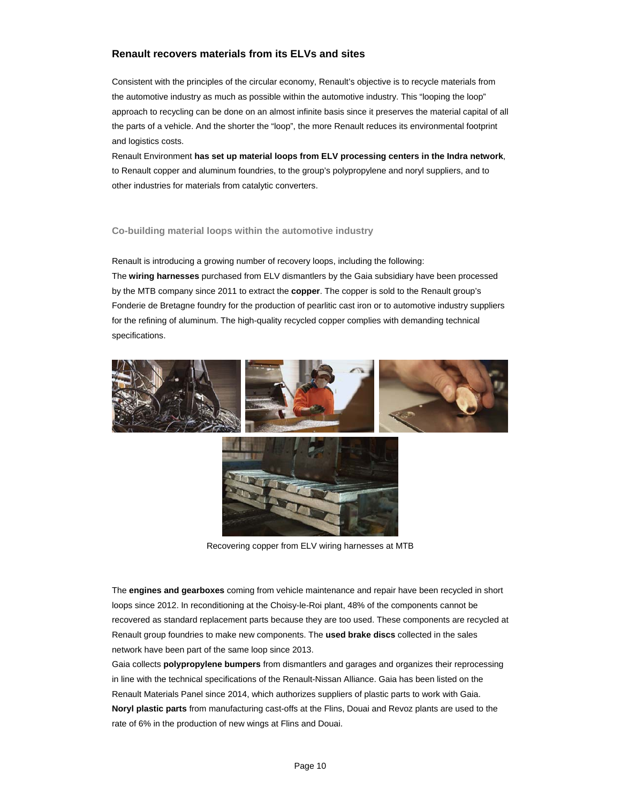### **Renault recovers materials from its ELVs and sites**

Consistent with the principles of the circular economy, Renault's objective is to recycle materials from the automotive industry as much as possible within the automotive industry. This "looping the loop" approach to recycling can be done on an almost infinite basis since it preserves the material capital of all the parts of a vehicle. And the shorter the "loop", the more Renault reduces its environmental footprint and logistics costs.

Renault Environment **has set up material loops from ELV processing centers in the Indra network**, to Renault copper and aluminum foundries, to the group's polypropylene and noryl suppliers, and to other industries for materials from catalytic converters.

#### **Co-building material loops within the automotive industry**

Renault is introducing a growing number of recovery loops, including the following: The **wiring harnesses** purchased from ELV dismantlers by the Gaia subsidiary have been processed by the MTB company since 2011 to extract the **copper**. The copper is sold to the Renault group's Fonderie de Bretagne foundry for the production of pearlitic cast iron or to automotive industry suppliers for the refining of aluminum. The high-quality recycled copper complies with demanding technical specifications.





Recovering copper from ELV wiring harnesses at MTB

The **engines and gearboxes** coming from vehicle maintenance and repair have been recycled in short loops since 2012. In reconditioning at the Choisy-le-Roi plant, 48% of the components cannot be recovered as standard replacement parts because they are too used. These components are recycled at Renault group foundries to make new components. The **used brake discs** collected in the sales network have been part of the same loop since 2013.

Gaia collects **polypropylene bumpers** from dismantlers and garages and organizes their reprocessing in line with the technical specifications of the Renault-Nissan Alliance. Gaia has been listed on the Renault Materials Panel since 2014, which authorizes suppliers of plastic parts to work with Gaia. **Noryl plastic parts** from manufacturing cast-offs at the Flins, Douai and Revoz plants are used to the rate of 6% in the production of new wings at Flins and Douai.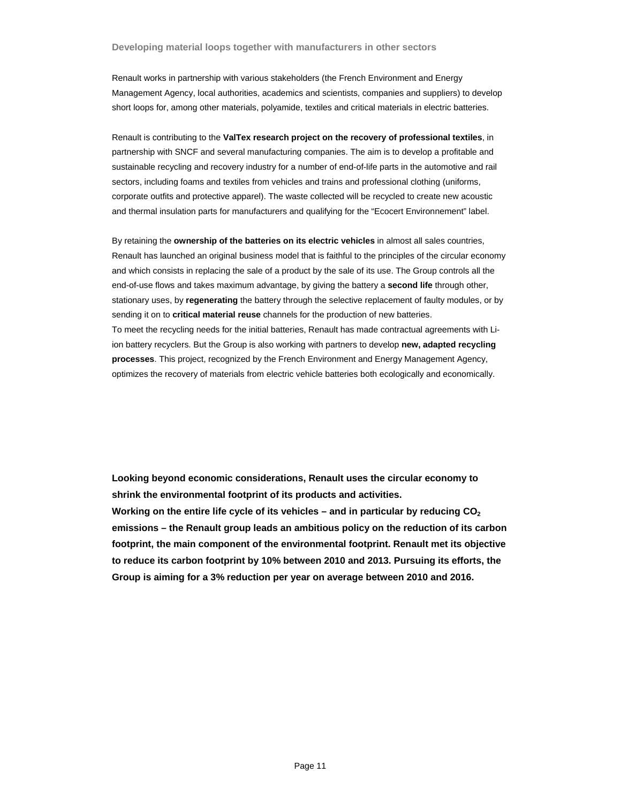Renault works in partnership with various stakeholders (the French Environment and Energy Management Agency, local authorities, academics and scientists, companies and suppliers) to develop short loops for, among other materials, polyamide, textiles and critical materials in electric batteries.

Renault is contributing to the **ValTex research project on the recovery of professional textiles**, in partnership with SNCF and several manufacturing companies. The aim is to develop a profitable and sustainable recycling and recovery industry for a number of end-of-life parts in the automotive and rail sectors, including foams and textiles from vehicles and trains and professional clothing (uniforms, corporate outfits and protective apparel). The waste collected will be recycled to create new acoustic and thermal insulation parts for manufacturers and qualifying for the "Ecocert Environnement" label.

By retaining the **ownership of the batteries on its electric vehicles** in almost all sales countries, Renault has launched an original business model that is faithful to the principles of the circular economy and which consists in replacing the sale of a product by the sale of its use. The Group controls all the end-of-use flows and takes maximum advantage, by giving the battery a **second life** through other, stationary uses, by **regenerating** the battery through the selective replacement of faulty modules, or by sending it on to **critical material reuse** channels for the production of new batteries. To meet the recycling needs for the initial batteries, Renault has made contractual agreements with Liion battery recyclers. But the Group is also working with partners to develop **new, adapted recycling processes**. This project, recognized by the French Environment and Energy Management Agency, optimizes the recovery of materials from electric vehicle batteries both ecologically and economically.

**Looking beyond economic considerations, Renault uses the circular economy to shrink the environmental footprint of its products and activities.** 

**Working on the entire life cycle of its vehicles – and in particular by reducing CO2 emissions – the Renault group leads an ambitious policy on the reduction of its carbon footprint, the main component of the environmental footprint. Renault met its objective to reduce its carbon footprint by 10% between 2010 and 2013. Pursuing its efforts, the Group is aiming for a 3% reduction per year on average between 2010 and 2016.**